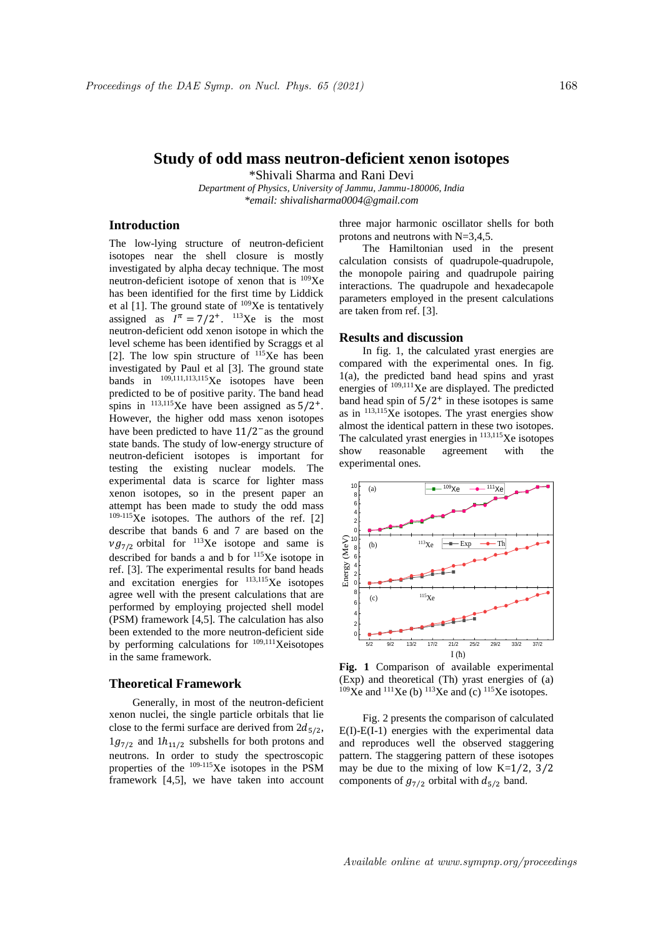# **Study of odd mass neutron-deficient xenon isotopes**

\*Shivali Sharma and Rani Devi

*Department of Physics, University of Jammu, Jammu-180006, India \*email: shivalisharma0004@gmail.com*

# **Introduction**

The low-lying structure of neutron-deficient isotopes near the shell closure is mostly investigated by alpha decay technique. The most neutron-deficient isotope of xenon that is  $109Xe$ has been identified for the first time by Liddick et al  $[1]$ . The ground state of  $109Xe$  is tentatively assigned as  $I^{\pi} = 7/2^{+}$ . <sup>113</sup>Xe is the most neutron-deficient odd xenon isotope in which the level scheme has been identified by Scraggs et al [2]. The low spin structure of  $^{115}$ Xe has been investigated by Paul et al [3]. The ground state bands in  $^{109,111,113,115}$ Xe isotopes have been predicted to be of positive parity. The band head spins in  $^{113,115}$ Xe have been assigned as  $5/2^+$ . However, the higher odd mass xenon isotopes have been predicted to have  $11/2$ <sup>-</sup>as the ground state bands. The study of low-energy structure of neutron-deficient isotopes is important for testing the existing nuclear models. The experimental data is scarce for lighter mass xenon isotopes, so in the present paper an attempt has been made to study the odd mass  $109-115$ Xe isotopes. The authors of the ref. [2] describe that bands 6 and 7 are based on the  $\nu g_{7/2}$  orbital for <sup>113</sup>Xe isotope and same is described for bands a and b for <sup>115</sup>Xe isotope in ref. [3]. The experimental results for band heads and excitation energies for 113,115Xe isotopes agree well with the present calculations that are performed by employing projected shell model (PSM) framework [4,5]. The calculation has also been extended to the more neutron-deficient side by performing calculations for  $109,111$ Xeisotopes in the same framework.

#### **Theoretical Framework**

Generally, in most of the neutron-deficient xenon nuclei, the single particle orbitals that lie close to the fermi surface are derived from  $2d_{5/2}$ ,  $1g_{7/2}$  and  $1h_{11/2}$  subshells for both protons and neutrons. In order to study the spectroscopic properties of the 109-115Xe isotopes in the PSM framework [4,5], we have taken into account

three major harmonic oscillator shells for both protons and neutrons with N=3,4,5.

The Hamiltonian used in the present calculation consists of quadrupole-quadrupole, the monopole pairing and quadrupole pairing interactions. The quadrupole and hexadecapole parameters employed in the present calculations are taken from ref. [3].

## **Results and discussion**

In fig. 1, the calculated yrast energies are compared with the experimental ones. In fig. 1(a), the predicted band head spins and yrast energies of 109,111Xe are displayed. The predicted band head spin of  $5/2^+$  in these isotopes is same as in  $113,115Xe$  isotopes. The yrast energies show almost the identical pattern in these two isotopes. The calculated yrast energies in <sup>113,115</sup>Xe isotopes show reasonable agreement with the experimental ones.



**Fig. 1** Comparison of available experimental (Exp) and theoretical (Th) yrast energies of (a)  $109Xe$  and  $111Xe$  (b)  $113Xe$  and (c)  $115Xe$  isotopes.

Fig. 2 presents the comparison of calculated  $E(I)-E(I-1)$  energies with the experimental data and reproduces well the observed staggering pattern. The staggering pattern of these isotopes may be due to the mixing of low  $K=1/2$ ,  $3/2$ components of  $g_{7/2}$  orbital with  $d_{5/2}$  band.